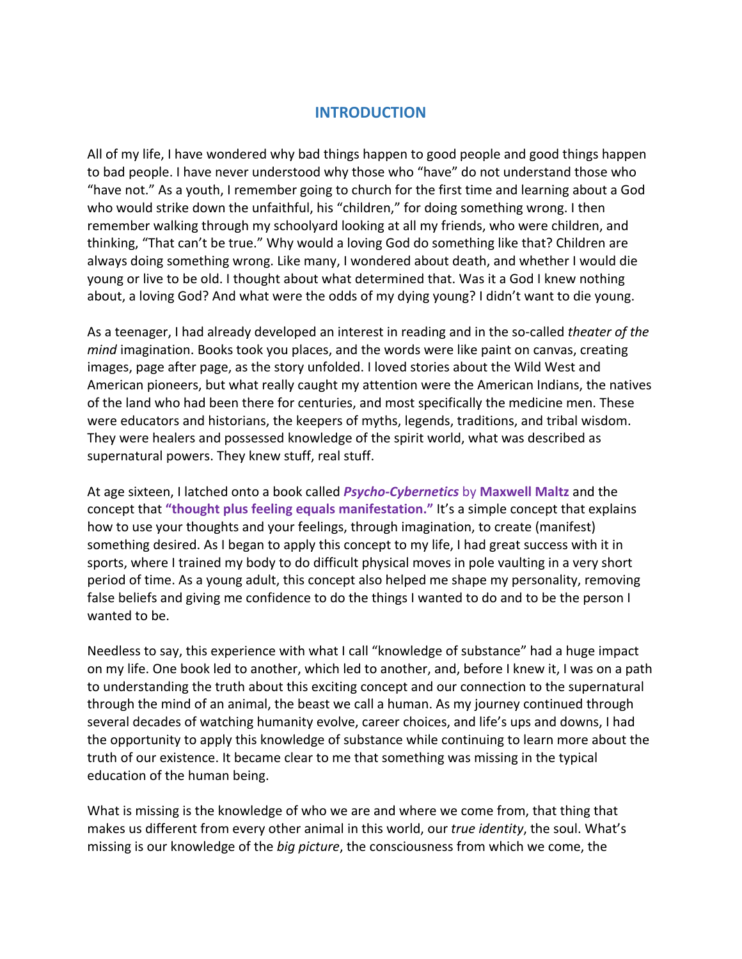## **INTRODUCTION**

All of my life, I have wondered why bad things happen to good people and good things happen to bad people. I have never understood why those who "have" do not understand those who "have not." As a youth, I remember going to church for the first time and learning about a God who would strike down the unfaithful, his "children," for doing something wrong. I then remember walking through my schoolyard looking at all my friends, who were children, and thinking, "That can't be true." Why would a loving God do something like that? Children are always doing something wrong. Like many, I wondered about death, and whether I would die young or live to be old. I thought about what determined that. Was it a God I knew nothing about, a loving God? And what were the odds of my dying young? I didn't want to die young.

As a teenager, I had already developed an interest in reading and in the so‐called *theater of the mind* imagination. Books took you places, and the words were like paint on canvas, creating images, page after page, as the story unfolded. I loved stories about the Wild West and American pioneers, but what really caught my attention were the American Indians, the natives of the land who had been there for centuries, and most specifically the medicine men. These were educators and historians, the keepers of myths, legends, traditions, and tribal wisdom. They were healers and possessed knowledge of the spirit world, what was described as supernatural powers. They knew stuff, real stuff.

At age sixteen, I latched onto a book called *Psycho‐Cybernetics* by **Maxwell Maltz** and the concept that **"thought plus feeling equals manifestation."** It's a simple concept that explains how to use your thoughts and your feelings, through imagination, to create (manifest) something desired. As I began to apply this concept to my life, I had great success with it in sports, where I trained my body to do difficult physical moves in pole vaulting in a very short period of time. As a young adult, this concept also helped me shape my personality, removing false beliefs and giving me confidence to do the things I wanted to do and to be the person I wanted to be.

Needless to say, this experience with what I call "knowledge of substance" had a huge impact on my life. One book led to another, which led to another, and, before I knew it, I was on a path to understanding the truth about this exciting concept and our connection to the supernatural through the mind of an animal, the beast we call a human. As my journey continued through several decades of watching humanity evolve, career choices, and life's ups and downs, I had the opportunity to apply this knowledge of substance while continuing to learn more about the truth of our existence. It became clear to me that something was missing in the typical education of the human being.

What is missing is the knowledge of who we are and where we come from, that thing that makes us different from every other animal in this world, our *true identity*, the soul. What's missing is our knowledge of the *big picture*, the consciousness from which we come, the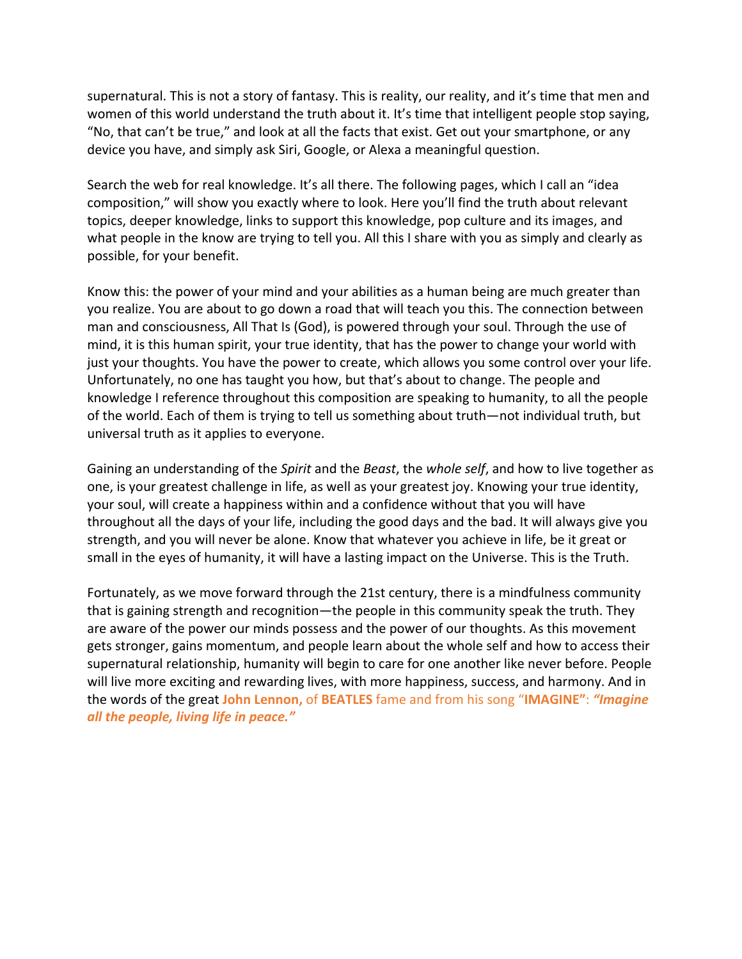supernatural. This is not a story of fantasy. This is reality, our reality, and it's time that men and women of this world understand the truth about it. It's time that intelligent people stop saying, "No, that can't be true," and look at all the facts that exist. Get out your smartphone, or any device you have, and simply ask Siri, Google, or Alexa a meaningful question.

Search the web for real knowledge. It's all there. The following pages, which I call an "idea composition," will show you exactly where to look. Here you'll find the truth about relevant topics, deeper knowledge, links to support this knowledge, pop culture and its images, and what people in the know are trying to tell you. All this I share with you as simply and clearly as possible, for your benefit.

Know this: the power of your mind and your abilities as a human being are much greater than you realize. You are about to go down a road that will teach you this. The connection between man and consciousness, All That Is (God), is powered through your soul. Through the use of mind, it is this human spirit, your true identity, that has the power to change your world with just your thoughts. You have the power to create, which allows you some control over your life. Unfortunately, no one has taught you how, but that's about to change. The people and knowledge I reference throughout this composition are speaking to humanity, to all the people of the world. Each of them is trying to tell us something about truth—not individual truth, but universal truth as it applies to everyone.

Gaining an understanding of the *Spirit* and the *Beast*, the *whole self*, and how to live together as one, is your greatest challenge in life, as well as your greatest joy. Knowing your true identity, your soul, will create a happiness within and a confidence without that you will have throughout all the days of your life, including the good days and the bad. It will always give you strength, and you will never be alone. Know that whatever you achieve in life, be it great or small in the eyes of humanity, it will have a lasting impact on the Universe. This is the Truth.

Fortunately, as we move forward through the 21st century, there is a mindfulness community that is gaining strength and recognition—the people in this community speak the truth. They are aware of the power our minds possess and the power of our thoughts. As this movement gets stronger, gains momentum, and people learn about the whole self and how to access their supernatural relationship, humanity will begin to care for one another like never before. People will live more exciting and rewarding lives, with more happiness, success, and harmony. And in the words of the great **John Lennon,** of **BEATLES** fame and from his song "**IMAGINE"**: *"Imagine all the people, living life in peace."*